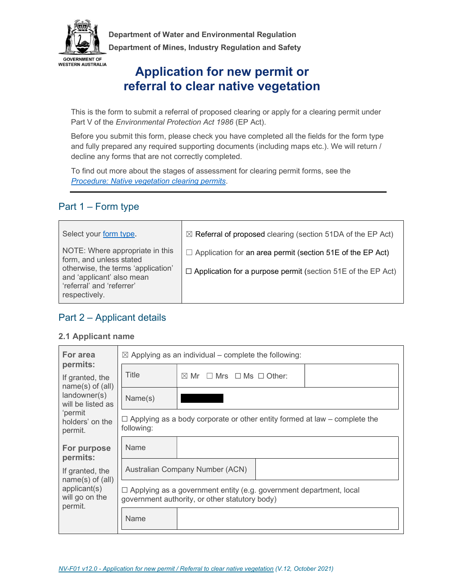

 Department of Water and Environmental Regulation Department of Mines, Industry Regulation and Safety

# Application for new permit or referral to clear native vegetation

This is the form to submit a referral of proposed clearing or apply for a clearing permit under Part V of the Environmental Protection Act 1986 (EP Act).

Before you submit this form, please check you have completed all the fields for the form type and fully prepared any required supporting documents (including maps etc.). We will return / decline any forms that are not correctly completed.

To find out more about the stages of assessment for clearing permit forms, see the Procedure: Native vegetation clearing permits.

# Part 1 – Form type

| Select your form type.                                                                                                                                                      | $\boxtimes$ Referral of proposed clearing (section 51DA of the EP Act)                                                                   |
|-----------------------------------------------------------------------------------------------------------------------------------------------------------------------------|------------------------------------------------------------------------------------------------------------------------------------------|
| NOTE: Where appropriate in this<br>form, and unless stated<br>otherwise, the terms 'application'<br>and 'applicant' also mean<br>'referral' and 'referrer'<br>respectively. | $\Box$ Application for an area permit (section 51E of the EP Act)<br>$\Box$ Application for a purpose permit (section 51E of the EP Act) |

# Part 2 – Applicant details

### 2.1 Applicant name

| For area                                                  |            | $\boxtimes$ Applying as an individual – complete the following:                                                             |
|-----------------------------------------------------------|------------|-----------------------------------------------------------------------------------------------------------------------------|
| permits:<br>If granted, the                               | Title      | $\boxtimes$ Mr $\Box$ Mrs $\Box$ Ms $\Box$ Other:                                                                           |
| $name(s)$ of $(all)$<br>landowner(s)<br>will be listed as | Name(s)    |                                                                                                                             |
| 'permit<br>holders' on the<br>permit.                     | following: | $\Box$ Applying as a body corporate or other entity formed at law – complete the                                            |
| For purpose<br>permits:                                   | Name       |                                                                                                                             |
| If granted, the<br>$name(s)$ of $(all)$                   |            | Australian Company Number (ACN)                                                                                             |
| applicant(s)<br>will go on the                            |            | $\Box$ Applying as a government entity (e.g. government department, local<br>government authority, or other statutory body) |
| permit.                                                   | Name       |                                                                                                                             |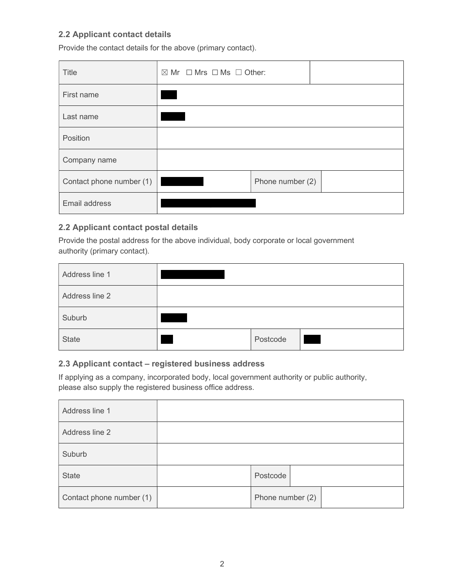### 2.2 Applicant contact details

Provide the contact details for the above (primary contact).

| Title                    | $\boxtimes$ Mr $\Box$ Mrs $\Box$ Ms $\Box$ Other: |                  |  |
|--------------------------|---------------------------------------------------|------------------|--|
| First name               |                                                   |                  |  |
| Last name                |                                                   |                  |  |
| Position                 |                                                   |                  |  |
| Company name             |                                                   |                  |  |
| Contact phone number (1) |                                                   | Phone number (2) |  |
| Email address            |                                                   |                  |  |

### 2.2 Applicant contact postal details

Provide the postal address for the above individual, body corporate or local government authority (primary contact).

| Address line 1 |          |  |
|----------------|----------|--|
| Address line 2 |          |  |
| Suburb         |          |  |
| <b>State</b>   | Postcode |  |

### 2.3 Applicant contact – registered business address

If applying as a company, incorporated body, local government authority or public authority, please also supply the registered business office address.

| Address line 1           |                  |  |
|--------------------------|------------------|--|
| Address line 2           |                  |  |
| Suburb                   |                  |  |
| <b>State</b>             | Postcode         |  |
| Contact phone number (1) | Phone number (2) |  |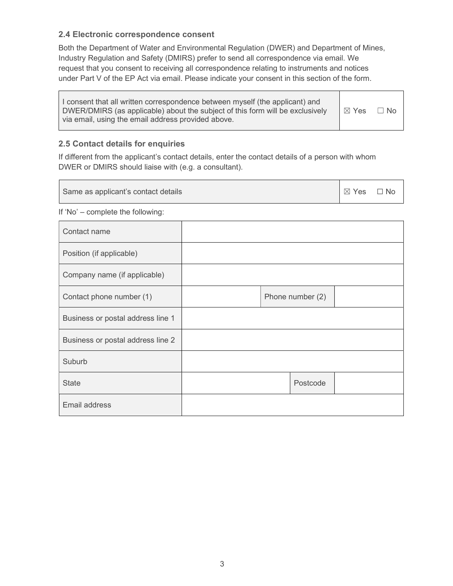### 2.4 Electronic correspondence consent

Both the Department of Water and Environmental Regulation (DWER) and Department of Mines, Industry Regulation and Safety (DMIRS) prefer to send all correspondence via email. We request that you consent to receiving all correspondence relating to instruments and notices under Part V of the EP Act via email. Please indicate your consent in this section of the form.

| I consent that all written correspondence between myself (the applicant) and<br>DWER/DMIRS (as applicable) about the subject of this form will be exclusively<br>via email, using the email address provided above. | $\boxtimes$ Yes | $\Box$ No |
|---------------------------------------------------------------------------------------------------------------------------------------------------------------------------------------------------------------------|-----------------|-----------|
|---------------------------------------------------------------------------------------------------------------------------------------------------------------------------------------------------------------------|-----------------|-----------|

٦

### 2.5 Contact details for enquiries

 $\Gamma$ 

If different from the applicant's contact details, enter the contact details of a person with whom DWER or DMIRS should liaise with (e.g. a consultant).

| Same as applicant's contact details |  |  | $\boxtimes$ Yes  | $\Box$ No |  |
|-------------------------------------|--|--|------------------|-----------|--|
| If 'No' - complete the following:   |  |  |                  |           |  |
| Contact name                        |  |  |                  |           |  |
| Position (if applicable)            |  |  |                  |           |  |
| Company name (if applicable)        |  |  |                  |           |  |
| Contact phone number (1)            |  |  | Phone number (2) |           |  |
| Business or postal address line 1   |  |  |                  |           |  |
| Business or postal address line 2   |  |  |                  |           |  |
| Suburb                              |  |  |                  |           |  |
| <b>State</b>                        |  |  | Postcode         |           |  |
| Email address                       |  |  |                  |           |  |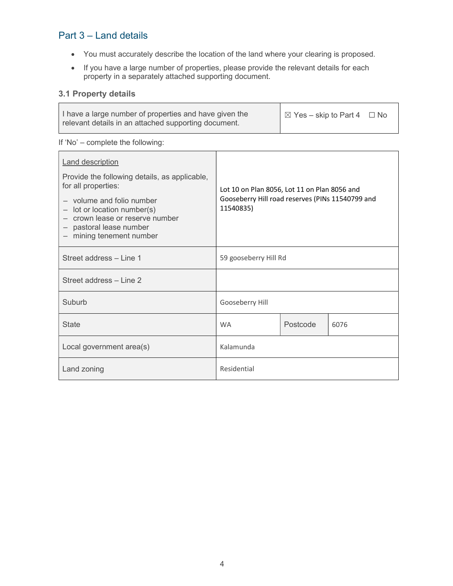# Part 3 – Land details

- You must accurately describe the location of the land where your clearing is proposed.
- If you have a large number of properties, please provide the relevant details for each property in a separately attached supporting document.

### 3.1 Property details

| I have a large number of properties and have given the | $\blacksquare$ $\boxtimes$ Yes – skip to Part 4 $\Box$ No |  |
|--------------------------------------------------------|-----------------------------------------------------------|--|
| relevant details in an attached supporting document.   |                                                           |  |

#### If 'No' – complete the following:

| <b>Land description</b><br>Provide the following details, as applicable,<br>for all properties:<br>- volume and folio number<br>$-$ lot or location number(s)<br>- crown lease or reserve number<br>- pastoral lease number<br>- mining tenement number | Lot 10 on Plan 8056, Lot 11 on Plan 8056 and<br>Gooseberry Hill road reserves (PINs 11540799 and<br>11540835) |          |      |
|---------------------------------------------------------------------------------------------------------------------------------------------------------------------------------------------------------------------------------------------------------|---------------------------------------------------------------------------------------------------------------|----------|------|
| Street address - Line 1                                                                                                                                                                                                                                 | 59 gooseberry Hill Rd                                                                                         |          |      |
| Street address - Line 2                                                                                                                                                                                                                                 |                                                                                                               |          |      |
| Suburb                                                                                                                                                                                                                                                  | Gooseberry Hill                                                                                               |          |      |
| <b>State</b>                                                                                                                                                                                                                                            | <b>WA</b>                                                                                                     | Postcode | 6076 |
| Local government area(s)                                                                                                                                                                                                                                | Kalamunda                                                                                                     |          |      |
| Land zoning                                                                                                                                                                                                                                             | Residential                                                                                                   |          |      |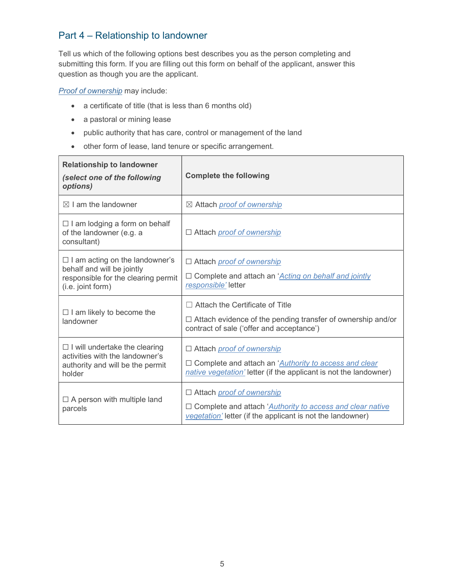### Part 4 – Relationship to landowner

Tell us which of the following options best describes you as the person completing and submitting this form. If you are filling out this form on behalf of the applicant, answer this question as though you are the applicant.

**Proof of ownership** may include:

- a certificate of title (that is less than 6 months old)
- a pastoral or mining lease
- public authority that has care, control or management of the land
- other form of lease, land tenure or specific arrangement.

| <b>Relationship to landowner</b><br>(select one of the following<br>options)                                                    | <b>Complete the following</b>                                                                                                                                                   |
|---------------------------------------------------------------------------------------------------------------------------------|---------------------------------------------------------------------------------------------------------------------------------------------------------------------------------|
| $\boxtimes$ I am the landowner                                                                                                  | ⊠ Attach <i>proof of ownership</i>                                                                                                                                              |
| $\Box$ I am lodging a form on behalf<br>of the landowner (e.g. a<br>consultant)                                                 | □ Attach <i>proof of ownership</i>                                                                                                                                              |
| $\Box$ I am acting on the landowner's<br>behalf and will be jointly<br>responsible for the clearing permit<br>(i.e. joint form) | □ Attach <i>proof of ownership</i><br>□ Complete and attach an 'Acting on behalf and jointly<br>responsible' letter                                                             |
| $\Box$ I am likely to become the<br>landowner                                                                                   | $\Box$ Attach the Certificate of Title<br>$\Box$ Attach evidence of the pending transfer of ownership and/or<br>contract of sale ('offer and acceptance')                       |
| $\Box$ I will undertake the clearing<br>activities with the landowner's<br>authority and will be the permit<br>holder           | □ Attach <i>proof of ownership</i><br>$\Box$ Complete and attach an ' <i>Authority to access and clear</i><br>native vegetation' letter (if the applicant is not the landowner) |
| $\Box$ A person with multiple land<br>parcels                                                                                   | □ Attach <i>proof of ownership</i><br>□ Complete and attach 'Authority to access and clear native<br>vegetation' letter (if the applicant is not the landowner)                 |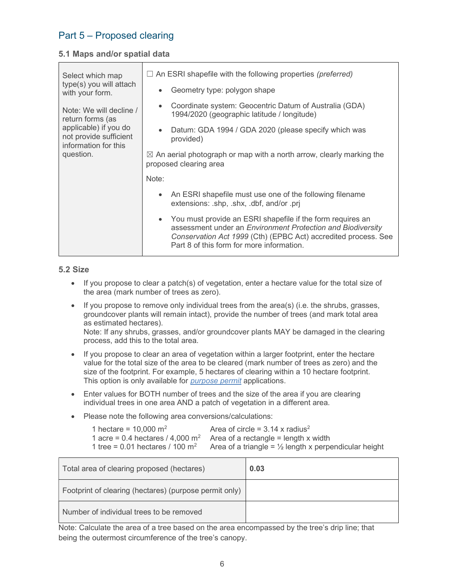# Part 5 – Proposed clearing

### 5.1 Maps and/or spatial data

| Select which map                                                        | $\Box$ An ESRI shapefile with the following properties (preferred)                                                                                                                                                                                    |
|-------------------------------------------------------------------------|-------------------------------------------------------------------------------------------------------------------------------------------------------------------------------------------------------------------------------------------------------|
| type(s) you will attach<br>with your form.                              | Geometry type: polygon shape<br>$\bullet$                                                                                                                                                                                                             |
| Note: We will decline /<br>return forms (as                             | Coordinate system: Geocentric Datum of Australia (GDA)<br>$\bullet$<br>1994/2020 (geographic latitude / longitude)                                                                                                                                    |
| applicable) if you do<br>not provide sufficient<br>information for this | Datum: GDA 1994 / GDA 2020 (please specify which was<br>$\bullet$<br>provided)                                                                                                                                                                        |
| question.                                                               | $\boxtimes$ An aerial photograph or map with a north arrow, clearly marking the<br>proposed clearing area                                                                                                                                             |
|                                                                         | Note:                                                                                                                                                                                                                                                 |
|                                                                         | An ESRI shapefile must use one of the following filename<br>$\bullet$<br>extensions: .shp, .shx, .dbf, and/or .prj                                                                                                                                    |
|                                                                         | You must provide an ESRI shapefile if the form requires an<br>$\bullet$<br>assessment under an Environment Protection and Biodiversity<br>Conservation Act 1999 (Cth) (EPBC Act) accredited process. See<br>Part 8 of this form for more information. |

### 5.2 Size

- $\bullet$  If you propose to clear a patch(s) of vegetation, enter a hectare value for the total size of the area (mark number of trees as zero).
- If you propose to remove only individual trees from the area(s) (i.e. the shrubs, grasses, groundcover plants will remain intact), provide the number of trees (and mark total area as estimated hectares).

Note: If any shrubs, grasses, and/or groundcover plants MAY be damaged in the clearing process, add this to the total area.

- If you propose to clear an area of vegetation within a larger footprint, enter the hectare value for the total size of the area to be cleared (mark number of trees as zero) and the size of the footprint. For example, 5 hectares of clearing within a 10 hectare footprint. This option is only available for *purpose permit* applications.
- Enter values for BOTH number of trees and the size of the area if you are clearing individual trees in one area AND a patch of vegetation in a different area.
- Please note the following area conversions/calculations:

| 1 hectare = $10,000 \text{ m}^2$              | Area of circle = $3.14 \times$ radius <sup>2</sup>                       |
|-----------------------------------------------|--------------------------------------------------------------------------|
|                                               | 1 acre = 0.4 hectares / 4,000 $m^2$ Area of a rectangle = length x width |
| 1 tree = $0.01$ hectares / 100 m <sup>2</sup> | Area of a triangle = $\frac{1}{2}$ length x perpendicular height         |

| Total area of clearing proposed (hectares)             | 0.03 |
|--------------------------------------------------------|------|
| Footprint of clearing (hectares) (purpose permit only) |      |
| Number of individual trees to be removed               |      |

Note: Calculate the area of a tree based on the area encompassed by the tree's drip line; that being the outermost circumference of the tree's canopy.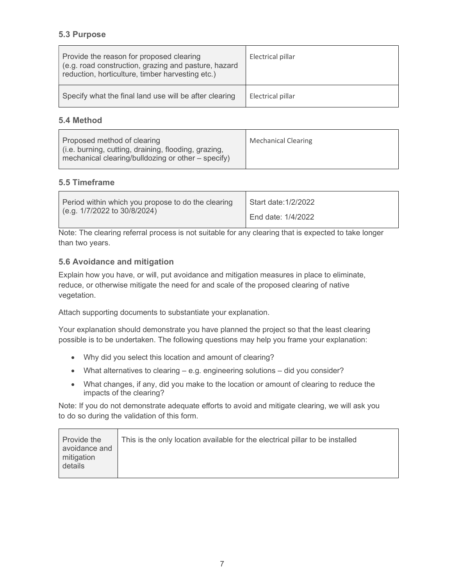### 5.3 Purpose

| Provide the reason for proposed clearing<br>(e.g. road construction, grazing and pasture, hazard<br>reduction, horticulture, timber harvesting etc.) | Electrical pillar |
|------------------------------------------------------------------------------------------------------------------------------------------------------|-------------------|
| Specify what the final land use will be after clearing                                                                                               | Electrical pillar |

#### 5.4 Method

| Proposed method of clearing                          | <b>Mechanical Clearing</b> |
|------------------------------------------------------|----------------------------|
| (i.e. burning, cutting, draining, flooding, grazing, |                            |
| mechanical clearing/bulldozing or other – specify)   |                            |
|                                                      |                            |

### 5.5 Timeframe

 $\Gamma$ 

| Period within which you propose to do the clearing<br>(e.g. 1/7/2022 to 30/8/2024) | Start date: 1/2/2022 |
|------------------------------------------------------------------------------------|----------------------|
|                                                                                    | End date: 1/4/2022   |

Note: The clearing referral process is not suitable for any clearing that is expected to take longer than two years.

### 5.6 Avoidance and mitigation

 $\overline{\mathbf{r}}$ 

Explain how you have, or will, put avoidance and mitigation measures in place to eliminate, reduce, or otherwise mitigate the need for and scale of the proposed clearing of native vegetation.

Attach supporting documents to substantiate your explanation.

Your explanation should demonstrate you have planned the project so that the least clearing possible is to be undertaken. The following questions may help you frame your explanation:

- Why did you select this location and amount of clearing?
- What alternatives to clearing e.g. engineering solutions did you consider?
- What changes, if any, did you make to the location or amount of clearing to reduce the impacts of the clearing?

Note: If you do not demonstrate adequate efforts to avoid and mitigate clearing, we will ask you to do so during the validation of this form.

| Provide the<br>avoidance and<br>mitigation<br>details | This is the only location available for the electrical pillar to be installed |
|-------------------------------------------------------|-------------------------------------------------------------------------------|
|                                                       |                                                                               |